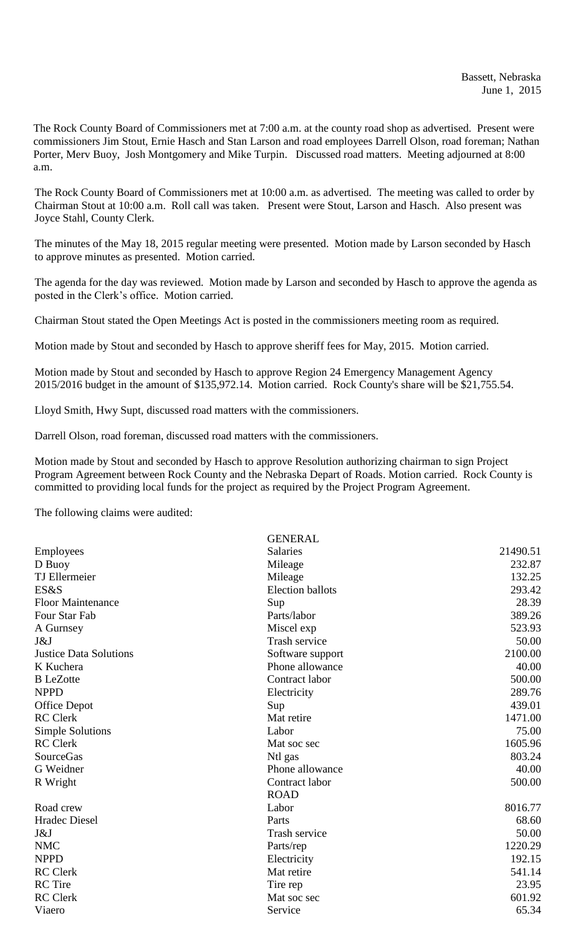The Rock County Board of Commissioners met at 7:00 a.m. at the county road shop as advertised. Present were commissioners Jim Stout, Ernie Hasch and Stan Larson and road employees Darrell Olson, road foreman; Nathan Porter, Merv Buoy, Josh Montgomery and Mike Turpin. Discussed road matters. Meeting adjourned at 8:00 a.m.

The Rock County Board of Commissioners met at 10:00 a.m. as advertised. The meeting was called to order by Chairman Stout at 10:00 a.m. Roll call was taken. Present were Stout, Larson and Hasch. Also present was Joyce Stahl, County Clerk.

The minutes of the May 18, 2015 regular meeting were presented. Motion made by Larson seconded by Hasch to approve minutes as presented. Motion carried.

The agenda for the day was reviewed. Motion made by Larson and seconded by Hasch to approve the agenda as posted in the Clerk's office. Motion carried.

Chairman Stout stated the Open Meetings Act is posted in the commissioners meeting room as required.

Motion made by Stout and seconded by Hasch to approve sheriff fees for May, 2015. Motion carried.

Motion made by Stout and seconded by Hasch to approve Region 24 Emergency Management Agency 2015/2016 budget in the amount of \$135,972.14. Motion carried. Rock County's share will be \$21,755.54.

Lloyd Smith, Hwy Supt, discussed road matters with the commissioners.

Darrell Olson, road foreman, discussed road matters with the commissioners.

Motion made by Stout and seconded by Hasch to approve Resolution authorizing chairman to sign Project Program Agreement between Rock County and the Nebraska Depart of Roads. Motion carried. Rock County is committed to providing local funds for the project as required by the Project Program Agreement.

The following claims were audited:

|                               | <b>GENERAL</b>          |          |
|-------------------------------|-------------------------|----------|
| Employees                     | <b>Salaries</b>         | 21490.51 |
| D Buoy                        | Mileage                 | 232.87   |
| <b>TJ</b> Ellermeier          | Mileage                 | 132.25   |
| ES&S                          | <b>Election ballots</b> | 293.42   |
| <b>Floor Maintenance</b>      | Sup                     | 28.39    |
| Four Star Fab                 | Parts/labor             | 389.26   |
| A Gurnsey                     | Miscel exp              | 523.93   |
| J&J                           | Trash service           | 50.00    |
| <b>Justice Data Solutions</b> | Software support        | 2100.00  |
| K Kuchera                     | Phone allowance         | 40.00    |
| <b>B</b> LeZotte              | Contract labor          | 500.00   |
| <b>NPPD</b>                   | Electricity             | 289.76   |
| <b>Office Depot</b>           | Sup                     | 439.01   |
| <b>RC</b> Clerk               | Mat retire              | 1471.00  |
| <b>Simple Solutions</b>       | Labor                   | 75.00    |
| <b>RC</b> Clerk               | Mat soc sec             | 1605.96  |
| SourceGas                     | Ntl gas                 | 803.24   |
| G Weidner                     | Phone allowance         | 40.00    |
| R Wright                      | Contract labor          | 500.00   |
|                               | <b>ROAD</b>             |          |
| Road crew                     | Labor                   | 8016.77  |
| <b>Hradec Diesel</b>          | Parts                   | 68.60    |
| J&J                           | Trash service           | 50.00    |
| <b>NMC</b>                    | Parts/rep               | 1220.29  |
| <b>NPPD</b>                   | Electricity             | 192.15   |
| <b>RC</b> Clerk               | Mat retire              | 541.14   |
| <b>RC</b> Tire                | Tire rep                | 23.95    |
| <b>RC</b> Clerk               | Mat soc sec             | 601.92   |
| Viaero                        | Service                 | 65.34    |